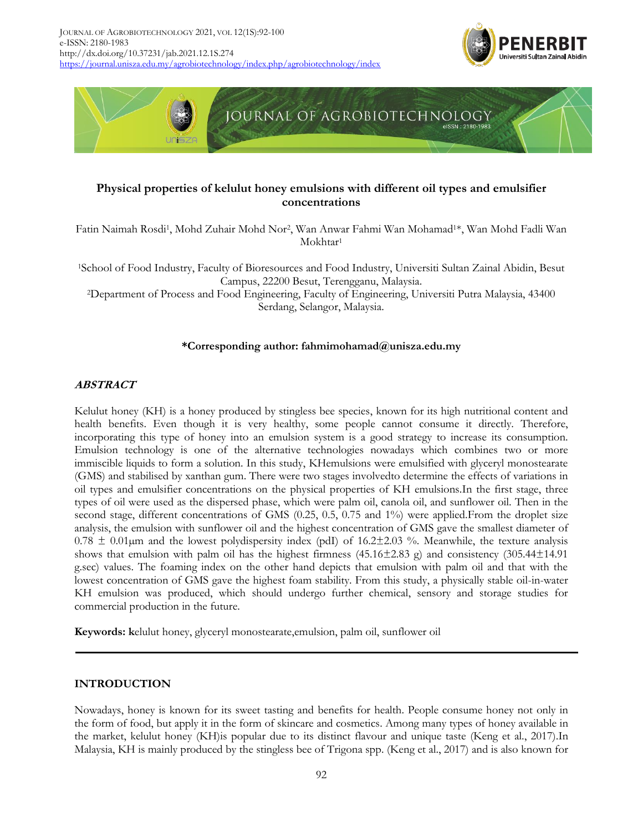



# **Physical properties of kelulut honey emulsions with different oil types and emulsifier concentrations**

Fatin Naimah Rosdi<sup>1</sup>, Mohd Zuhair Mohd Nor<sup>2</sup>, Wan Anwar Fahmi Wan Mohamad<sup>1\*</sup>, Wan Mohd Fadli Wan Mokhtar<sup>1</sup>

<sup>1</sup>School of Food Industry, Faculty of Bioresources and Food Industry, Universiti Sultan Zainal Abidin, Besut Campus, 22200 Besut, Terengganu, Malaysia.

<sup>2</sup>Department of Process and Food Engineering, Faculty of Engineering, Universiti Putra Malaysia, 43400 Serdang, Selangor, Malaysia.

# **\*Corresponding author: fahmimohamad@unisza.edu.my**

# **ABSTRACT**

Kelulut honey (KH) is a honey produced by stingless bee species, known for its high nutritional content and health benefits. Even though it is very healthy, some people cannot consume it directly. Therefore, incorporating this type of honey into an emulsion system is a good strategy to increase its consumption. Emulsion technology is one of the alternative technologies nowadays which combines two or more immiscible liquids to form a solution. In this study, KHemulsions were emulsified with glyceryl monostearate (GMS) and stabilised by xanthan gum. There were two stages involvedto determine the effects of variations in oil types and emulsifier concentrations on the physical properties of KH emulsions.In the first stage, three types of oil were used as the dispersed phase, which were palm oil, canola oil, and sunflower oil. Then in the second stage, different concentrations of GMS (0.25, 0.5, 0.75 and 1%) were applied.From the droplet size analysis, the emulsion with sunflower oil and the highest concentration of GMS gave the smallest diameter of  $0.78 \pm 0.01 \mu$ m and the lowest polydispersity index (pdI) of 16.2 $\pm$ 2.03 %. Meanwhile, the texture analysis shows that emulsion with palm oil has the highest firmness (45.16±2.83 g) and consistency (305.44±14.91 g.sec) values. The foaming index on the other hand depicts that emulsion with palm oil and that with the lowest concentration of GMS gave the highest foam stability. From this study, a physically stable oil-in-water KH emulsion was produced, which should undergo further chemical, sensory and storage studies for commercial production in the future.

**Keywords: k**elulut honey, glyceryl monostearate,emulsion, palm oil, sunflower oil

#### **INTRODUCTION**

Nowadays, honey is known for its sweet tasting and benefits for health. People consume honey not only in the form of food, but apply it in the form of skincare and cosmetics. Among many types of honey available in the market, kelulut honey (KH)is popular due to its distinct flavour and unique taste (Keng et al., 2017).In Malaysia, KH is mainly produced by the stingless bee of Trigona spp. (Keng et al., 2017) and is also known for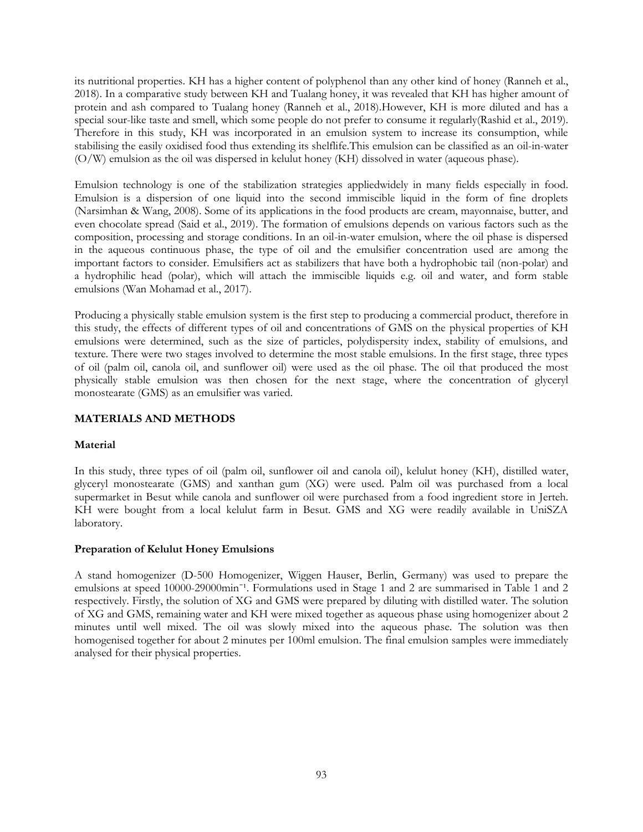its nutritional properties. KH has a higher content of polyphenol than any other kind of honey (Ranneh et al., 2018). In a comparative study between KH and Tualang honey, it was revealed that KH has higher amount of protein and ash compared to Tualang honey (Ranneh et al., 2018).However, KH is more diluted and has a special sour-like taste and smell, which some people do not prefer to consume it regularly(Rashid et al., 2019). Therefore in this study, KH was incorporated in an emulsion system to increase its consumption, while stabilising the easily oxidised food thus extending its shelflife.This emulsion can be classified as an oil-in-water (O/W) emulsion as the oil was dispersed in kelulut honey (KH) dissolved in water (aqueous phase).

Emulsion technology is one of the stabilization strategies appliedwidely in many fields especially in food. Emulsion is a dispersion of one liquid into the second immiscible liquid in the form of fine droplets (Narsimhan & Wang, 2008). Some of its applications in the food products are cream, mayonnaise, butter, and even chocolate spread (Said et al., 2019). The formation of emulsions depends on various factors such as the composition, processing and storage conditions. In an oil-in-water emulsion, where the oil phase is dispersed in the aqueous continuous phase, the type of oil and the emulsifier concentration used are among the important factors to consider. Emulsifiers act as stabilizers that have both a hydrophobic tail (non-polar) and a hydrophilic head (polar), which will attach the immiscible liquids e.g. oil and water, and form stable emulsions (Wan Mohamad et al., 2017).

Producing a physically stable emulsion system is the first step to producing a commercial product, therefore in this study, the effects of different types of oil and concentrations of GMS on the physical properties of KH emulsions were determined, such as the size of particles, polydispersity index, stability of emulsions, and texture. There were two stages involved to determine the most stable emulsions. In the first stage, three types of oil (palm oil, canola oil, and sunflower oil) were used as the oil phase. The oil that produced the most physically stable emulsion was then chosen for the next stage, where the concentration of glyceryl monostearate (GMS) as an emulsifier was varied.

# **MATERIALS AND METHODS**

# **Material**

In this study, three types of oil (palm oil, sunflower oil and canola oil), kelulut honey (KH), distilled water, glyceryl monostearate (GMS) and xanthan gum (XG) were used. Palm oil was purchased from a local supermarket in Besut while canola and sunflower oil were purchased from a food ingredient store in Jerteh. KH were bought from a local kelulut farm in Besut. GMS and XG were readily available in UniSZA laboratory.

# **Preparation of Kelulut Honey Emulsions**

A stand homogenizer (D-500 Homogenizer, Wiggen Hauser, Berlin, Germany) was used to prepare the emulsions at speed 10000-29000min<sup>-1</sup>. Formulations used in Stage 1 and 2 are summarised in Table 1 and 2 respectively. Firstly, the solution of XG and GMS were prepared by diluting with distilled water. The solution of XG and GMS, remaining water and KH were mixed together as aqueous phase using homogenizer about 2 minutes until well mixed. The oil was slowly mixed into the aqueous phase. The solution was then homogenised together for about 2 minutes per 100ml emulsion. The final emulsion samples were immediately analysed for their physical properties.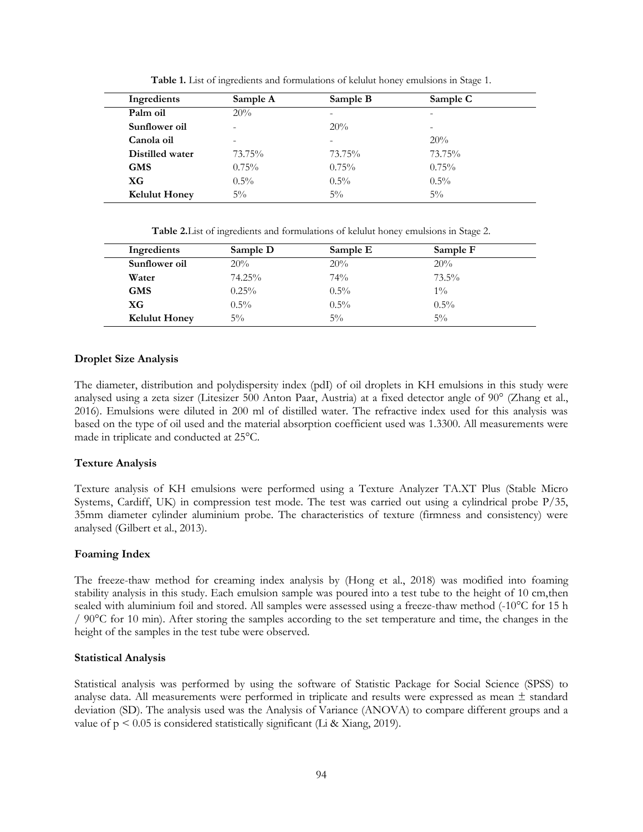| Ingredients          | Sample A | Sample B | Sample C                 |  |
|----------------------|----------|----------|--------------------------|--|
| Palm oil             | 20%      |          | $\qquad \qquad$          |  |
| Sunflower oil        | ۰        | 20%      | $\overline{\phantom{a}}$ |  |
| Canola oil           | -        | -        | 20%                      |  |
| Distilled water      | 73.75%   | 73.75%   | 73.75%                   |  |
| <b>GMS</b>           | $0.75\%$ | 0.75%    | 0.75%                    |  |
| XG                   | $0.5\%$  | $0.5\%$  | $0.5\%$                  |  |
| <b>Kelulut Honey</b> | $5\%$    | $5\%$    | $5\%$                    |  |

**Table 1.** List of ingredients and formulations of kelulut honey emulsions in Stage 1.

**Table 2.**List of ingredients and formulations of kelulut honey emulsions in Stage 2.

| Ingredients          | Sample D | Sample E | Sample F |
|----------------------|----------|----------|----------|
| Sunflower oil        | 20%      | 20%      | 20%      |
| Water                | 74.25%   | 74%      | $73.5\%$ |
| <b>GMS</b>           | $0.25\%$ | $0.5\%$  | $1\%$    |
| XG                   | $0.5\%$  | $0.5\%$  | $0.5\%$  |
| <b>Kelulut Honey</b> | $5\%$    | $5\%$    | $5\%$    |

### **Droplet Size Analysis**

The diameter, distribution and polydispersity index (pdI) of oil droplets in KH emulsions in this study were analysed using a zeta sizer (Litesizer 500 Anton Paar, Austria) at a fixed detector angle of 90° (Zhang et al., 2016). Emulsions were diluted in 200 ml of distilled water. The refractive index used for this analysis was based on the type of oil used and the material absorption coefficient used was 1.3300. All measurements were made in triplicate and conducted at 25°C.

# **Texture Analysis**

Texture analysis of KH emulsions were performed using a Texture Analyzer TA.XT Plus (Stable Micro Systems, Cardiff, UK) in compression test mode. The test was carried out using a cylindrical probe P/35, 35mm diameter cylinder aluminium probe. The characteristics of texture (firmness and consistency) were analysed (Gilbert et al., 2013).

# **Foaming Index**

The freeze-thaw method for creaming index analysis by (Hong et al., 2018) was modified into foaming stability analysis in this study. Each emulsion sample was poured into a test tube to the height of 10 cm,then sealed with aluminium foil and stored. All samples were assessed using a freeze-thaw method (-10°C for 15 h / 90°C for 10 min). After storing the samples according to the set temperature and time, the changes in the height of the samples in the test tube were observed.

# **Statistical Analysis**

Statistical analysis was performed by using the software of Statistic Package for Social Science (SPSS) to analyse data. All measurements were performed in triplicate and results were expressed as mean  $\pm$  standard deviation (SD). The analysis used was the Analysis of Variance (ANOVA) to compare different groups and a value of  $p < 0.05$  is considered statistically significant (Li & Xiang, 2019).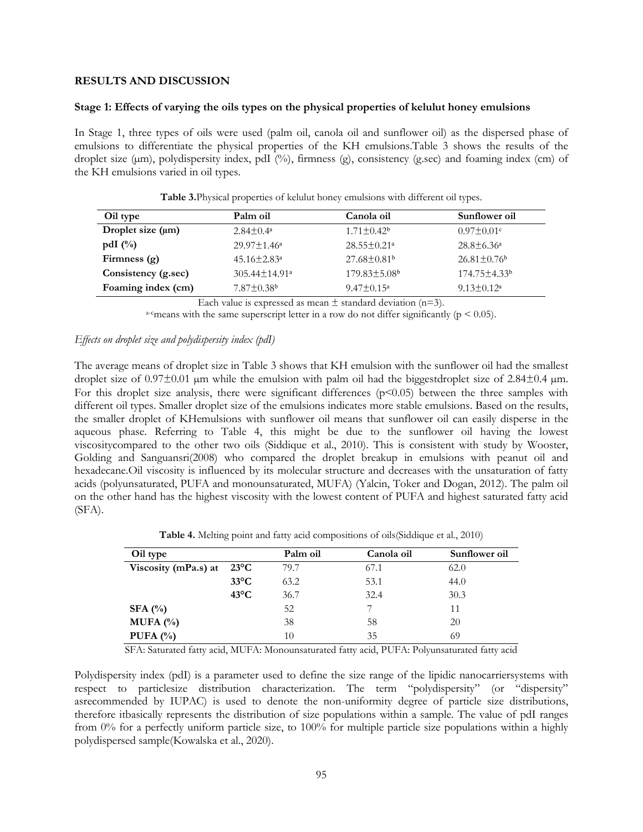### **RESULTS AND DISCUSSION**

#### **Stage 1: Effects of varying the oils types on the physical properties of kelulut honey emulsions**

In Stage 1, three types of oils were used (palm oil, canola oil and sunflower oil) as the dispersed phase of emulsions to differentiate the physical properties of the KH emulsions.Table 3 shows the results of the droplet size (µm), polydispersity index, pdI (%), firmness (g), consistency (g.sec) and foaming index (cm) of the KH emulsions varied in oil types.

| Oil type               | Palm oil                        | Canola oil                     | Sunflower oil                 |
|------------------------|---------------------------------|--------------------------------|-------------------------------|
| Droplet size $(\mu m)$ | $2.84 \pm 0.4^{\circ}$          | $1.71 \pm 0.42^b$              | $0.97 \pm 0.01$ <sup>c</sup>  |
| pdI $(\%)$             | $29.97 \pm 1.46^a$              | $28.55 \pm 0.21$ <sup>a</sup>  | $28.8 \pm 6.36^{\circ}$       |
| Firmness $(g)$         | $45.16 \pm 2.83$ <sup>a</sup>   | $27.68 \pm 0.81$ <sup>b</sup>  | $26.81 \pm 0.76$ <sup>b</sup> |
| Consistency (g.sec)    | $305.44 \pm 14.91$ <sup>a</sup> | $179.83 \pm 5.08$ <sup>b</sup> | $174.75 \pm 4.33^b$           |
| Foaming index (cm)     | $7.87 \pm 0.38$ <sup>b</sup>    | $9.47 \pm 0.15^{\circ}$        | $9.13 \pm 0.12^a$             |

**Table 3.**Physical properties of kelulut honey emulsions with different oil types.

Each value is expressed as mean  $\pm$  standard deviation (n=3).

<sup>a-c</sup>means with the same superscript letter in a row do not differ significantly ( $p < 0.05$ ).

#### *Effects on droplet size and polydispersity index (pdI)*

The average means of droplet size in Table 3 shows that KH emulsion with the sunflower oil had the smallest droplet size of  $0.97\pm0.01$  µm while the emulsion with palm oil had the biggestdroplet size of  $2.84\pm0.4$  µm. For this droplet size analysis, there were significant differences (p<0.05) between the three samples with different oil types. Smaller droplet size of the emulsions indicates more stable emulsions. Based on the results, the smaller droplet of KHemulsions with sunflower oil means that sunflower oil can easily disperse in the aqueous phase. Referring to Table 4, this might be due to the sunflower oil having the lowest viscositycompared to the other two oils (Siddique et al., 2010). This is consistent with study by Wooster, Golding and Sanguansri(2008) who compared the droplet breakup in emulsions with peanut oil and hexadecane.Oil viscosity is influenced by its molecular structure and decreases with the unsaturation of fatty acids (polyunsaturated, PUFA and monounsaturated, MUFA) (Yalcin, Toker and Dogan, 2012). The palm oil on the other hand has the highest viscosity with the lowest content of PUFA and highest saturated fatty acid (SFA).

**Table 4.** Melting point and fatty acid compositions of oils(Siddique et al., 2010)

| Oil type             |                | Palm oil | Canola oil | Sunflower oil |
|----------------------|----------------|----------|------------|---------------|
| Viscosity (mPa.s) at | $23^{\circ}C$  | 79.7     | 67.1       | 62.0          |
|                      | $33^{\circ}$ C | 63.2     | 53.1       | 44.0          |
|                      | $43^{\circ}$ C | 36.7     | 32.4       | 30.3          |
| SFA $(%)$            |                | 52       | 7          | 11            |
| MUFA $(%)$           |                | 38       | 58         | 20            |
| PUFA $(%)$           |                | 10       | 35         | 69            |

SFA: Saturated fatty acid, MUFA: Monounsaturated fatty acid, PUFA: Polyunsaturated fatty acid

Polydispersity index (pdI) is a parameter used to define the size range of the lipidic nanocarriersystems with respect to particlesize distribution characterization. The term "polydispersity" (or "dispersity" asrecommended by IUPAC) is used to denote the non-uniformity degree of particle size distributions, therefore itbasically represents the distribution of size populations within a sample. The value of pdI ranges from 0% for a perfectly uniform particle size, to 100% for multiple particle size populations within a highly polydispersed sample(Kowalska et al., 2020).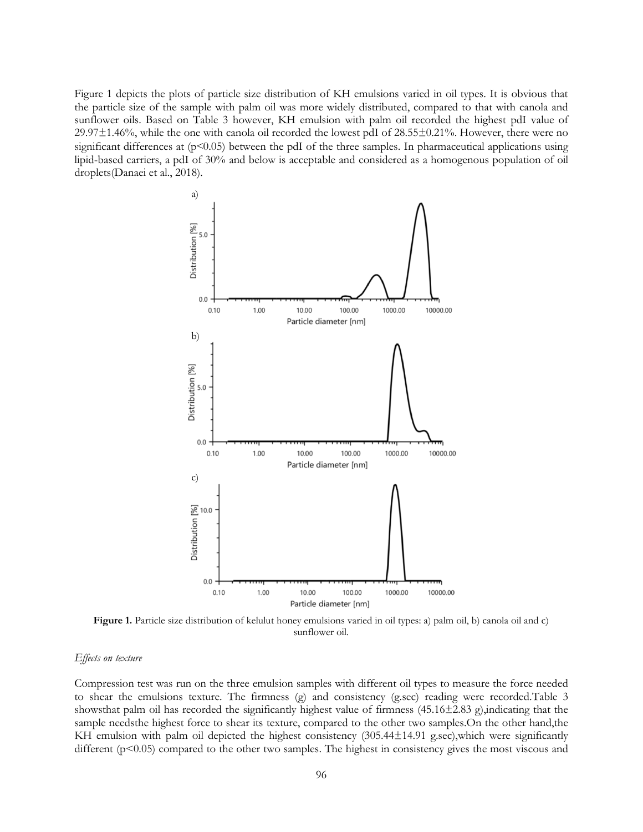Figure 1 depicts the plots of particle size distribution of KH emulsions varied in oil types. It is obvious that the particle size of the sample with palm oil was more widely distributed, compared to that with canola and sunflower oils. Based on Table 3 however, KH emulsion with palm oil recorded the highest pdI value of 29.97±1.46%, while the one with canola oil recorded the lowest pdI of 28.55±0.21%. However, there were no significant differences at  $(p<0.05)$  between the pdI of the three samples. In pharmaceutical applications using lipid-based carriers, a pdI of 30% and below is acceptable and considered as a homogenous population of oil droplets(Danaei et al., 2018).



**Figure 1.** Particle size distribution of kelulut honey emulsions varied in oil types: a) palm oil, b) canola oil and c) sunflower oil.

#### *Effects on texture*

Compression test was run on the three emulsion samples with different oil types to measure the force needed to shear the emulsions texture. The firmness (g) and consistency (g.sec) reading were recorded.Table 3 showsthat palm oil has recorded the significantly highest value of firmness (45.16±2.83 g),indicating that the sample needsthe highest force to shear its texture, compared to the other two samples. On the other hand, the KH emulsion with palm oil depicted the highest consistency (305.44±14.91 g.sec),which were significantly different (p<0.05) compared to the other two samples. The highest in consistency gives the most viscous and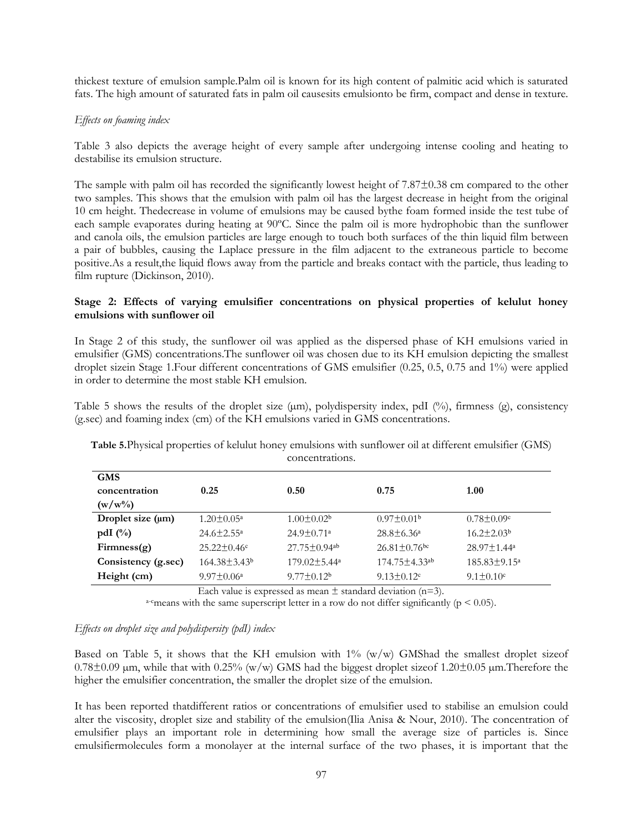thickest texture of emulsion sample.Palm oil is known for its high content of palmitic acid which is saturated fats. The high amount of saturated fats in palm oil causesits emulsionto be firm, compact and dense in texture.

### *Effects on foaming index*

Table 3 also depicts the average height of every sample after undergoing intense cooling and heating to destabilise its emulsion structure.

The sample with palm oil has recorded the significantly lowest height of 7.87±0.38 cm compared to the other two samples. This shows that the emulsion with palm oil has the largest decrease in height from the original 10 cm height. Thedecrease in volume of emulsions may be caused bythe foam formed inside the test tube of each sample evaporates during heating at 90ºC. Since the palm oil is more hydrophobic than the sunflower and canola oils, the emulsion particles are large enough to touch both surfaces of the thin liquid film between a pair of bubbles, causing the Laplace pressure in the film adjacent to the extraneous particle to become positive.As a result,the liquid flows away from the particle and breaks contact with the particle, thus leading to film rupture (Dickinson, 2010).

### **Stage 2: Effects of varying emulsifier concentrations on physical properties of kelulut honey emulsions with sunflower oil**

In Stage 2 of this study, the sunflower oil was applied as the dispersed phase of KH emulsions varied in emulsifier (GMS) concentrations.The sunflower oil was chosen due to its KH emulsion depicting the smallest droplet sizein Stage 1.Four different concentrations of GMS emulsifier (0.25, 0.5, 0.75 and 1%) were applied in order to determine the most stable KH emulsion.

Table 5 shows the results of the droplet size  $(\mu m)$ , polydispersity index, pdI  $(\%)$ , firmness  $(g)$ , consistency (g.sec) and foaming index (cm) of the KH emulsions varied in GMS concentrations.

| <b>GMS</b>          |                            |                                |                                 |                             |
|---------------------|----------------------------|--------------------------------|---------------------------------|-----------------------------|
| concentration       | 0.25                       | 0.50                           | 0.75                            | 1.00                        |
| $(w/w\%)$           |                            |                                |                                 |                             |
| Droplet size (µm)   | $1.20 \pm 0.05^{\text{a}}$ | $1.00 \pm 0.02^b$              | $0.97 \pm 0.01b$                | $0.78 \pm 0.09$ °           |
| pdI $(\%)$          | $24.6 \pm 2.55^{\circ}$    | $24.9 \pm 0.71$ <sup>a</sup>   | $28.8 \pm 6.36^a$               | $16.2 \pm 2.03^b$           |
| Firmness(g)         | $25.22 \pm 0.46$ °         | $27.75 \pm 0.94$ <sup>ab</sup> | $26.81 \pm 0.76$ <sup>bc</sup>  | $28.97 \pm 1.44^a$          |
| Consistency (g.sec) | $164.38 \pm 3.43^b$        | $179.02 \pm 5.44^a$            | $174.75 \pm 4.33$ <sup>ab</sup> | $185.83 \pm 9.15^{\circ}$   |
| Height (cm)         | $9.97 \pm 0.06^{\circ}$    | $9.77 \pm 0.12^b$              | $9.13 \pm 0.12$ <sup>c</sup>    | $9.1 \pm 0.10$ <sup>c</sup> |

**Table 5.**Physical properties of kelulut honey emulsions with sunflower oil at different emulsifier (GMS) concentrations.

Each value is expressed as mean  $\pm$  standard deviation (n=3).

<sup>a-c</sup>means with the same superscript letter in a row do not differ significantly ( $p \le 0.05$ ).

#### *Effects on droplet size and polydispersity (pdI) index*

Based on Table 5, it shows that the KH emulsion with  $1\%$  (w/w) GMShad the smallest droplet sizeof  $0.78\pm0.09$  µm, while that with  $0.25\%$  (w/w) GMS had the biggest droplet size of  $1.20\pm0.05$  µm. Therefore the higher the emulsifier concentration, the smaller the droplet size of the emulsion.

It has been reported thatdifferent ratios or concentrations of emulsifier used to stabilise an emulsion could alter the viscosity, droplet size and stability of the emulsion(Ilia Anisa & Nour, 2010). The concentration of emulsifier plays an important role in determining how small the average size of particles is. Since emulsifiermolecules form a monolayer at the internal surface of the two phases, it is important that the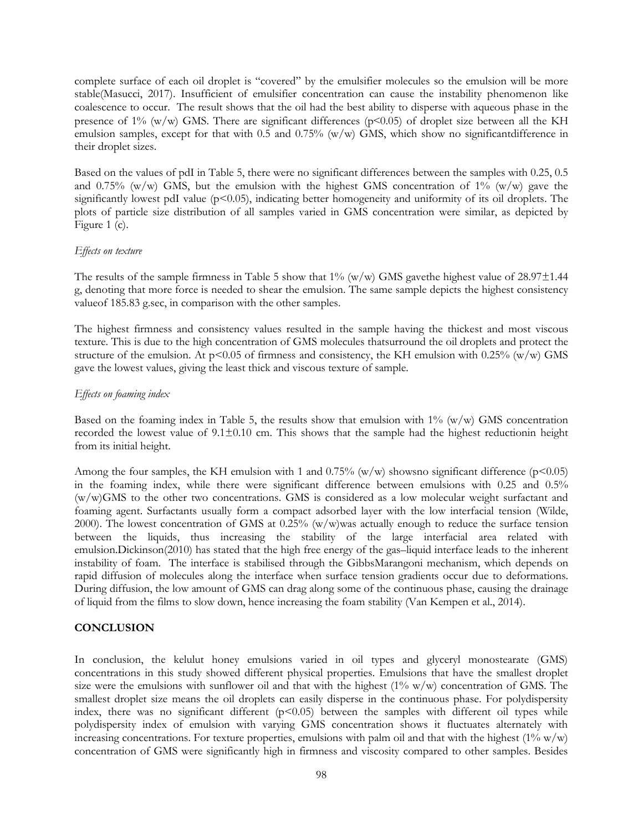complete surface of each oil droplet is "covered" by the emulsifier molecules so the emulsion will be more stable(Masucci, 2017). Insufficient of emulsifier concentration can cause the instability phenomenon like coalescence to occur. The result shows that the oil had the best ability to disperse with aqueous phase in the presence of 1% (w/w) GMS. There are significant differences ( $p$ <0.05) of droplet size between all the KH emulsion samples, except for that with  $0.5$  and  $0.75\%$  (w/w) GMS, which show no significant difference in their droplet sizes.

Based on the values of pdI in Table 5, there were no significant differences between the samples with 0.25, 0.5 and 0.75% (w/w) GMS, but the emulsion with the highest GMS concentration of  $1\%$  (w/w) gave the significantly lowest pdI value  $(p<0.05)$ , indicating better homogeneity and uniformity of its oil droplets. The plots of particle size distribution of all samples varied in GMS concentration were similar, as depicted by Figure 1 (c).

#### *Effects on texture*

The results of the sample firmness in Table 5 show that  $1\%$  (w/w) GMS gavethe highest value of 28.97 $\pm$ 1.44 g, denoting that more force is needed to shear the emulsion. The same sample depicts the highest consistency valueof 185.83 g.sec, in comparison with the other samples.

The highest firmness and consistency values resulted in the sample having the thickest and most viscous texture. This is due to the high concentration of GMS molecules thatsurround the oil droplets and protect the structure of the emulsion. At  $p<0.05$  of firmness and consistency, the KH emulsion with 0.25% (w/w) GMS gave the lowest values, giving the least thick and viscous texture of sample.

# *Effects on foaming index*

Based on the foaming index in Table 5, the results show that emulsion with  $1\%$  (w/w) GMS concentration recorded the lowest value of 9.1±0.10 cm. This shows that the sample had the highest reductionin height from its initial height.

Among the four samples, the KH emulsion with 1 and 0.75% (w/w) shows no significant difference ( $p<0.05$ ) in the foaming index, while there were significant difference between emulsions with 0.25 and 0.5% (w/w)GMS to the other two concentrations. GMS is considered as a low molecular weight surfactant and foaming agent. Surfactants usually form a compact adsorbed layer with the low interfacial tension (Wilde, 2000). The lowest concentration of GMS at 0.25% (w/w)was actually enough to reduce the surface tension between the liquids, thus increasing the stability of the large interfacial area related with emulsion.Dickinson(2010) has stated that the high free energy of the gas–liquid interface leads to the inherent instability of foam. The interface is stabilised through the GibbsMarangoni mechanism, which depends on rapid diffusion of molecules along the interface when surface tension gradients occur due to deformations. During diffusion, the low amount of GMS can drag along some of the continuous phase, causing the drainage of liquid from the films to slow down, hence increasing the foam stability (Van Kempen et al., 2014).

# **CONCLUSION**

In conclusion, the kelulut honey emulsions varied in oil types and glyceryl monostearate (GMS) concentrations in this study showed different physical properties. Emulsions that have the smallest droplet size were the emulsions with sunflower oil and that with the highest  $(1\% \text{ w/w})$  concentration of GMS. The smallest droplet size means the oil droplets can easily disperse in the continuous phase. For polydispersity index, there was no significant different  $(p<0.05)$  between the samples with different oil types while polydispersity index of emulsion with varying GMS concentration shows it fluctuates alternately with increasing concentrations. For texture properties, emulsions with palm oil and that with the highest  $(1\% \text{ w/w})$ concentration of GMS were significantly high in firmness and viscosity compared to other samples. Besides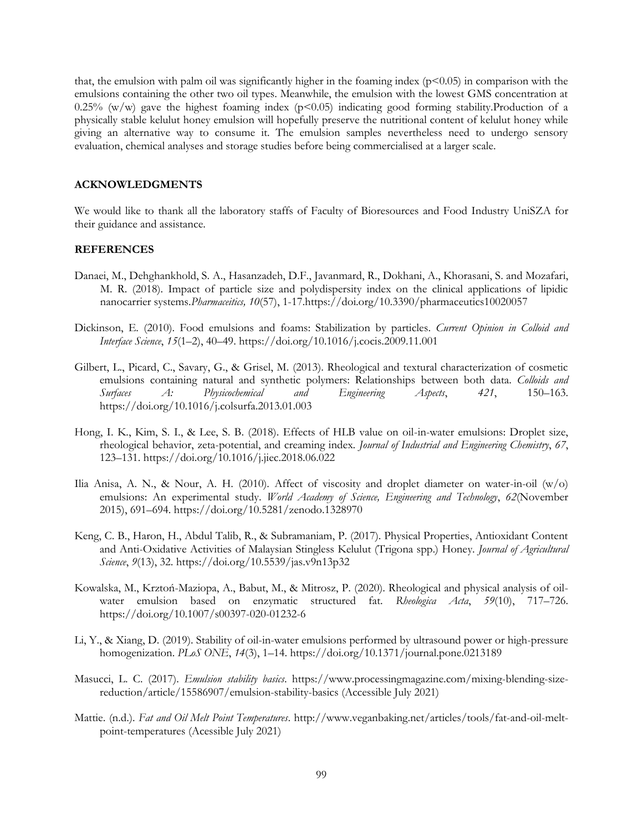that, the emulsion with palm oil was significantly higher in the foaming index  $(p<0.05)$  in comparison with the emulsions containing the other two oil types. Meanwhile, the emulsion with the lowest GMS concentration at 0.25% (w/w) gave the highest foaming index ( $p<0.05$ ) indicating good forming stability. Production of a physically stable kelulut honey emulsion will hopefully preserve the nutritional content of kelulut honey while giving an alternative way to consume it. The emulsion samples nevertheless need to undergo sensory evaluation, chemical analyses and storage studies before being commercialised at a larger scale.

#### **ACKNOWLEDGMENTS**

We would like to thank all the laboratory staffs of Faculty of Bioresources and Food Industry UniSZA for their guidance and assistance.

#### **REFERENCES**

- Danaei, M., Dehghankhold, S. A., Hasanzadeh, D.F., Javanmard, R., Dokhani, A., Khorasani, S. and Mozafari, M. R. (2018). Impact of particle size and polydispersity index on the clinical applications of lipidic nanocarrier systems.*Pharmaceitics, 10*(57), 1-1[7.https://doi.org/10.3390/pharmaceutics10020057](https://doi.org/10.3390/pharmaceutics10020057)
- Dickinson, E. (2010). Food emulsions and foams: Stabilization by particles. *Current Opinion in Colloid and Interface Science*, *15*(1–2), 40–49. https://doi.org/10.1016/j.cocis.2009.11.001
- Gilbert, L., Picard, C., Savary, G., & Grisel, M. (2013). Rheological and textural characterization of cosmetic emulsions containing natural and synthetic polymers: Relationships between both data. *Colloids and Surfaces A: Physicochemical and Engineering Aspects*, *421*, 150–163. https://doi.org/10.1016/j.colsurfa.2013.01.003
- Hong, I. K., Kim, S. I., & Lee, S. B. (2018). Effects of HLB value on oil-in-water emulsions: Droplet size, rheological behavior, zeta-potential, and creaming index. *Journal of Industrial and Engineering Chemistry*, *67*, 123–131. https://doi.org/10.1016/j.jiec.2018.06.022
- Ilia Anisa, A. N., & Nour, A. H. (2010). Affect of viscosity and droplet diameter on water-in-oil (w/o) emulsions: An experimental study. *World Academy of Science, Engineering and Technology*, *62*(November 2015), 691–694. https://doi.org/10.5281/zenodo.1328970
- Keng, C. B., Haron, H., Abdul Talib, R., & Subramaniam, P. (2017). Physical Properties, Antioxidant Content and Anti-Oxidative Activities of Malaysian Stingless Kelulut (Trigona spp.) Honey. *Journal of Agricultural Science*, *9*(13), 32. https://doi.org/10.5539/jas.v9n13p32
- Kowalska, M., Krztoń-Maziopa, A., Babut, M., & Mitrosz, P. (2020). Rheological and physical analysis of oilwater emulsion based on enzymatic structured fat. *Rheologica Acta*, *59*(10), 717–726. https://doi.org/10.1007/s00397-020-01232-6
- Li, Y., & Xiang, D. (2019). Stability of oil-in-water emulsions performed by ultrasound power or high-pressure homogenization. *PLoS ONE*, *14*(3), 1–14. https://doi.org/10.1371/journal.pone.0213189
- Masucci, L. C. (2017). *Emulsion stability basics*. https://www.processingmagazine.com/mixing-blending-sizereduction/article/15586907/emulsion-stability-basics (Accessible July 2021)
- Mattie. (n.d.). *Fat and Oil Melt Point Temperatures*. http://www.veganbaking.net/articles/tools/fat-and-oil-meltpoint-temperatures (Acessible July 2021)